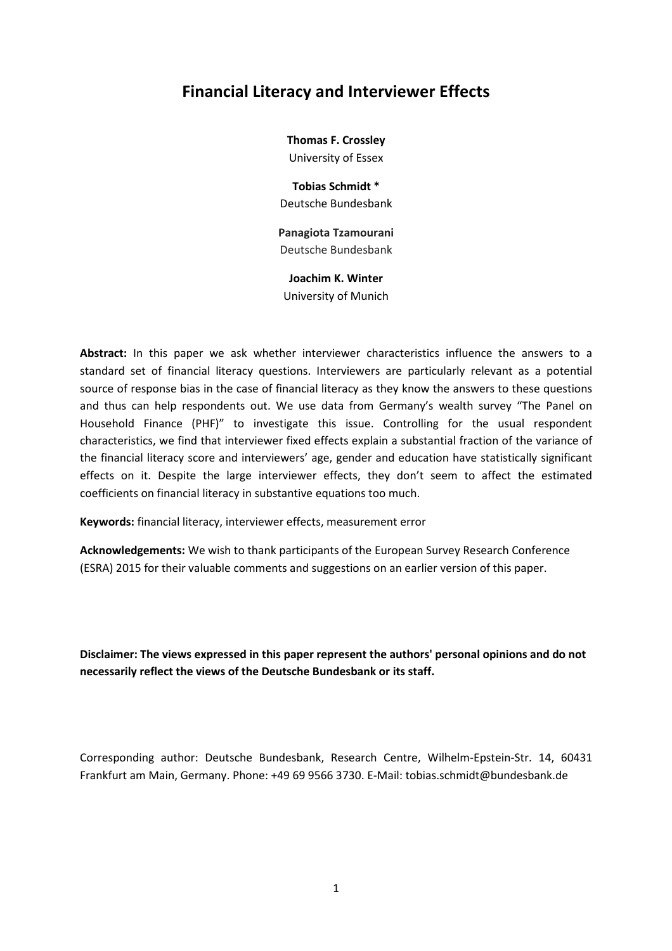# **Financial Literacy and Interviewer Effects**

**Thomas F. Crossley**  University of Essex

**Tobias Schmidt \***  Deutsche Bundesbank

**Panagiota Tzamourani**  Deutsche Bundesbank

**Joachim K. Winter**  University of Munich

**Abstract:** In this paper we ask whether interviewer characteristics influence the answers to a standard set of financial literacy questions. Interviewers are particularly relevant as a potential source of response bias in the case of financial literacy as they know the answers to these questions and thus can help respondents out. We use data from Germany's wealth survey "The Panel on Household Finance (PHF)" to investigate this issue. Controlling for the usual respondent characteristics, we find that interviewer fixed effects explain a substantial fraction of the variance of the financial literacy score and interviewers' age, gender and education have statistically significant effects on it. Despite the large interviewer effects, they don't seem to affect the estimated coefficients on financial literacy in substantive equations too much.

**Keywords:** financial literacy, interviewer effects, measurement error

**Acknowledgements:** We wish to thank participants of the European Survey Research Conference (ESRA) 2015 for their valuable comments and suggestions on an earlier version of this paper.

**Disclaimer: The views expressed in this paper represent the authors' personal opinions and do not necessarily reflect the views of the Deutsche Bundesbank or its staff.** 

Corresponding author: Deutsche Bundesbank, Research Centre, Wilhelm-Epstein-Str. 14, 60431 Frankfurt am Main, Germany. Phone: +49 69 9566 3730. E-Mail: tobias.schmidt@bundesbank.de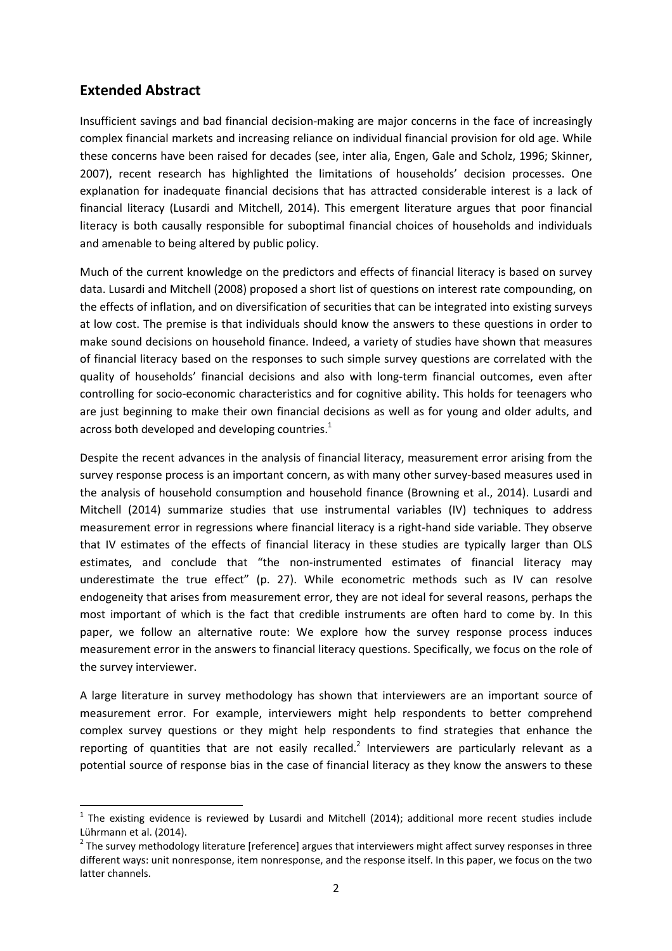## **Extended Abstract**

l

Insufficient savings and bad financial decision-making are major concerns in the face of increasingly complex financial markets and increasing reliance on individual financial provision for old age. While these concerns have been raised for decades (see, inter alia, Engen, Gale and Scholz, 1996; Skinner, 2007), recent research has highlighted the limitations of households' decision processes. One explanation for inadequate financial decisions that has attracted considerable interest is a lack of financial literacy (Lusardi and Mitchell, 2014). This emergent literature argues that poor financial literacy is both causally responsible for suboptimal financial choices of households and individuals and amenable to being altered by public policy.

Much of the current knowledge on the predictors and effects of financial literacy is based on survey data. Lusardi and Mitchell (2008) proposed a short list of questions on interest rate compounding, on the effects of inflation, and on diversification of securities that can be integrated into existing surveys at low cost. The premise is that individuals should know the answers to these questions in order to make sound decisions on household finance. Indeed, a variety of studies have shown that measures of financial literacy based on the responses to such simple survey questions are correlated with the quality of households' financial decisions and also with long-term financial outcomes, even after controlling for socio-economic characteristics and for cognitive ability. This holds for teenagers who are just beginning to make their own financial decisions as well as for young and older adults, and across both developed and developing countries.<sup>1</sup>

Despite the recent advances in the analysis of financial literacy, measurement error arising from the survey response process is an important concern, as with many other survey-based measures used in the analysis of household consumption and household finance (Browning et al., 2014). Lusardi and Mitchell (2014) summarize studies that use instrumental variables (IV) techniques to address measurement error in regressions where financial literacy is a right-hand side variable. They observe that IV estimates of the effects of financial literacy in these studies are typically larger than OLS estimates, and conclude that "the non-instrumented estimates of financial literacy may underestimate the true effect" (p. 27). While econometric methods such as IV can resolve endogeneity that arises from measurement error, they are not ideal for several reasons, perhaps the most important of which is the fact that credible instruments are often hard to come by. In this paper, we follow an alternative route: We explore how the survey response process induces measurement error in the answers to financial literacy questions. Specifically, we focus on the role of the survey interviewer.

A large literature in survey methodology has shown that interviewers are an important source of measurement error. For example, interviewers might help respondents to better comprehend complex survey questions or they might help respondents to find strategies that enhance the reporting of quantities that are not easily recalled.<sup>2</sup> Interviewers are particularly relevant as a potential source of response bias in the case of financial literacy as they know the answers to these

 $1$  The existing evidence is reviewed by Lusardi and Mitchell (2014); additional more recent studies include Lührmann et al. (2014).

 $2$  The survey methodology literature [reference] argues that interviewers might affect survey responses in three different ways: unit nonresponse, item nonresponse, and the response itself. In this paper, we focus on the two latter channels.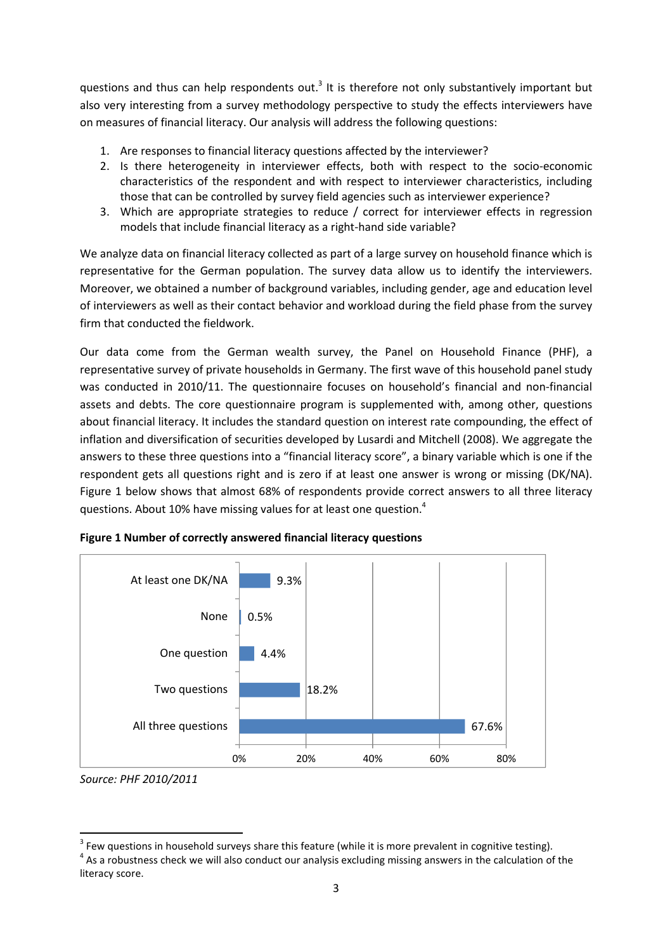questions and thus can help respondents out.<sup>3</sup> It is therefore not only substantively important but also very interesting from a survey methodology perspective to study the effects interviewers have on measures of financial literacy. Our analysis will address the following questions:

- 1. Are responses to financial literacy questions affected by the interviewer?
- 2. Is there heterogeneity in interviewer effects, both with respect to the socio-economic characteristics of the respondent and with respect to interviewer characteristics, including those that can be controlled by survey field agencies such as interviewer experience?
- 3. Which are appropriate strategies to reduce / correct for interviewer effects in regression models that include financial literacy as a right-hand side variable?

We analyze data on financial literacy collected as part of a large survey on household finance which is representative for the German population. The survey data allow us to identify the interviewers. Moreover, we obtained a number of background variables, including gender, age and education level of interviewers as well as their contact behavior and workload during the field phase from the survey firm that conducted the fieldwork.

Our data come from the German wealth survey, the Panel on Household Finance (PHF), a representative survey of private households in Germany. The first wave of this household panel study was conducted in 2010/11. The questionnaire focuses on household's financial and non-financial assets and debts. The core questionnaire program is supplemented with, among other, questions about financial literacy. It includes the standard question on interest rate compounding, the effect of inflation and diversification of securities developed by Lusardi and Mitchell (2008). We aggregate the answers to these three questions into a "financial literacy score", a binary variable which is one if the respondent gets all questions right and is zero if at least one answer is wrong or missing (DK/NA). Figure 1 below shows that almost 68% of respondents provide correct answers to all three literacy questions. About 10% have missing values for at least one question.<sup>4</sup>



**Figure 1 Number of correctly answered financial literacy questions** 

l

*Source: PHF 2010/2011* 

 $3$  Few questions in household surveys share this feature (while it is more prevalent in cognitive testing).

 $<sup>4</sup>$  As a robustness check we will also conduct our analysis excluding missing answers in the calculation of the</sup> literacy score.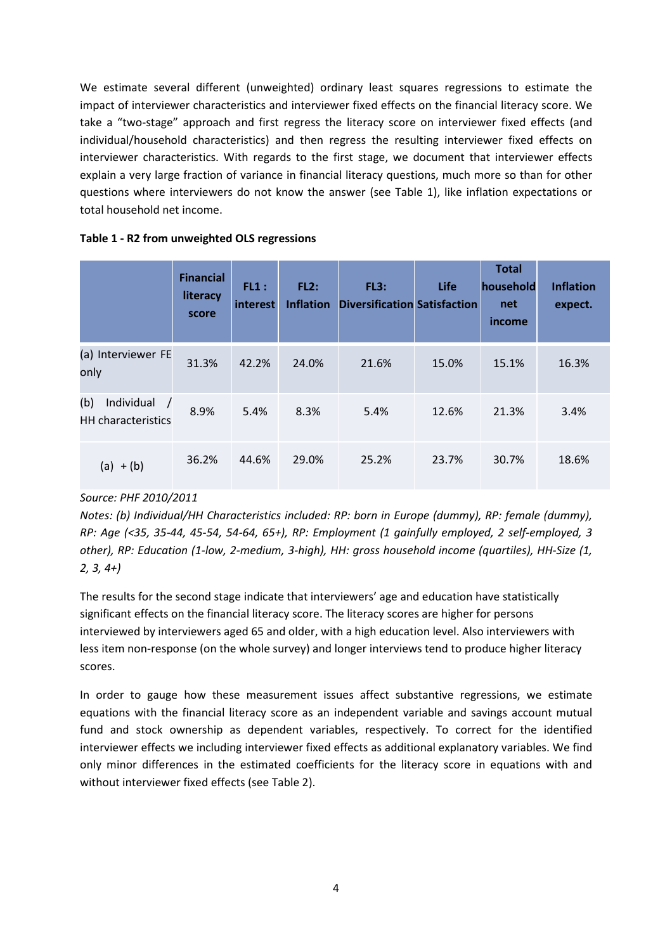We estimate several different (unweighted) ordinary least squares regressions to estimate the impact of interviewer characteristics and interviewer fixed effects on the financial literacy score. We take a "two-stage" approach and first regress the literacy score on interviewer fixed effects (and individual/household characteristics) and then regress the resulting interviewer fixed effects on interviewer characteristics. With regards to the first stage, we document that interviewer effects explain a very large fraction of variance in financial literacy questions, much more so than for other questions where interviewers do not know the answer (see Table 1), like inflation expectations or total household net income.

|                                                              | <b>Financial</b><br>literacy<br>score | FL1:<br>interest | FL2:<br><b>Inflation</b> | FL3:<br><b>Diversification Satisfaction</b> | Life  | <b>Total</b><br>household<br>net<br>income | <b>Inflation</b><br>expect. |
|--------------------------------------------------------------|---------------------------------------|------------------|--------------------------|---------------------------------------------|-------|--------------------------------------------|-----------------------------|
| (a) Interviewer FE<br>only                                   | 31.3%                                 | 42.2%            | 24.0%                    | 21.6%                                       | 15.0% | 15.1%                                      | 16.3%                       |
| (b)<br>Individual<br>$\sqrt{ }$<br><b>HH</b> characteristics | 8.9%                                  | 5.4%             | 8.3%                     | 5.4%                                        | 12.6% | 21.3%                                      | 3.4%                        |
| $(a) + (b)$                                                  | 36.2%                                 | 44.6%            | 29.0%                    | 25.2%                                       | 23.7% | 30.7%                                      | 18.6%                       |

#### **Table 1 - R2 from unweighted OLS regressions**

### *Source: PHF 2010/2011*

*Notes: (b) Individual/HH Characteristics included: RP: born in Europe (dummy), RP: female (dummy), RP: Age (<35, 35-44, 45-54, 54-64, 65+), RP: Employment (1 gainfully employed, 2 self-employed, 3 other), RP: Education (1-low, 2-medium, 3-high), HH: gross household income (quartiles), HH-Size (1, 2, 3, 4+)* 

The results for the second stage indicate that interviewers' age and education have statistically significant effects on the financial literacy score. The literacy scores are higher for persons interviewed by interviewers aged 65 and older, with a high education level. Also interviewers with less item non-response (on the whole survey) and longer interviews tend to produce higher literacy scores.

In order to gauge how these measurement issues affect substantive regressions, we estimate equations with the financial literacy score as an independent variable and savings account mutual fund and stock ownership as dependent variables, respectively. To correct for the identified interviewer effects we including interviewer fixed effects as additional explanatory variables. We find only minor differences in the estimated coefficients for the literacy score in equations with and without interviewer fixed effects (see Table 2).